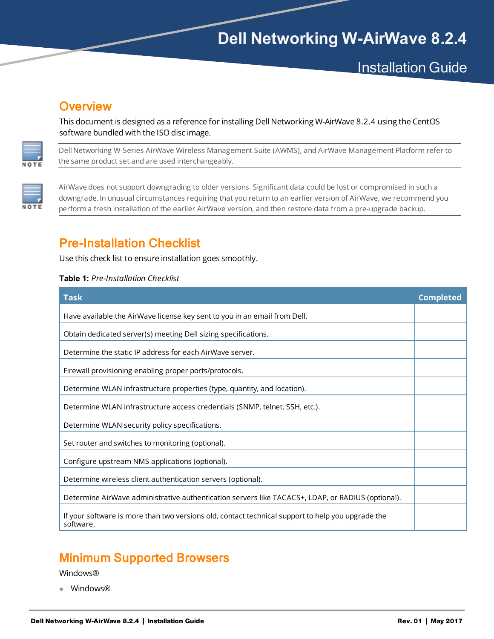# **Dell Networking W-AirWave 8.2.4**

# **Installation Guide**

## **Overview**

This document is designed as a reference for installing Dell Networking W-AirWave 8.2.4 using the CentOS software bundled with the ISO disc image.



Dell Networking W-Series AirWave Wireless Management Suite (AWMS), and AirWave Management Platform refer to the same product set and are used interchangeably.



AirWave does not support downgrading to older versions. Significant data could be lost or compromised in such a downgrade. In unusual circumstances requiring that you return to an earlier version of AirWave, we recommend you performa fresh installation of the earlier AirWave version, and then restore data from a pre-upgrade backup.

## Pre-Installation Checklist

Use this check list to ensure installation goes smoothly.

#### **Table 1:** *Pre-Installation Checklist*

| <b>Task</b>                                                                                                    | <b>Completed</b> |
|----------------------------------------------------------------------------------------------------------------|------------------|
| Have available the AirWave license key sent to you in an email from Dell.                                      |                  |
| Obtain dedicated server(s) meeting Dell sizing specifications.                                                 |                  |
|                                                                                                                |                  |
| Determine the static IP address for each AirWave server.                                                       |                  |
| Firewall provisioning enabling proper ports/protocols.                                                         |                  |
| Determine WLAN infrastructure properties (type, quantity, and location).                                       |                  |
| Determine WLAN infrastructure access credentials (SNMP, telnet, SSH, etc.).                                    |                  |
| Determine WLAN security policy specifications.                                                                 |                  |
| Set router and switches to monitoring (optional).                                                              |                  |
| Configure upstream NMS applications (optional).                                                                |                  |
| Determine wireless client authentication servers (optional).                                                   |                  |
| Determine AirWave administrative authentication servers like TACACS+, LDAP, or RADIUS (optional).              |                  |
| If your software is more than two versions old, contact technical support to help you upgrade the<br>software. |                  |

## Minimum Supported Browsers

#### Windows®

• Windows®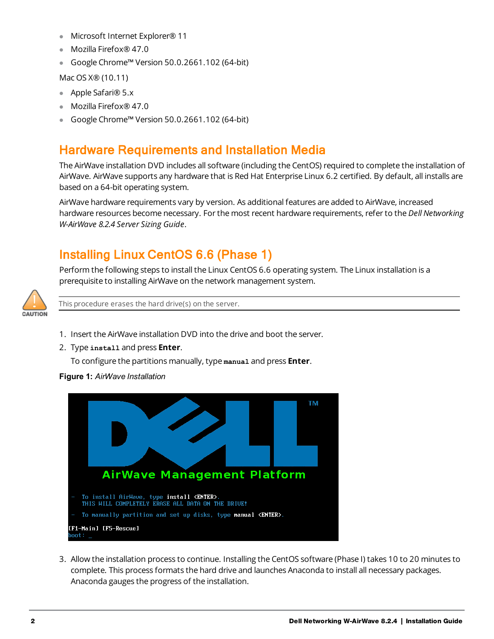- **Microsoft Internet Explorer® 11**
- $\bullet$  Mozilla Firefox® 47.0
- <sup>l</sup> Google Chrome™ Version 50.0.2661.102 (64-bit)

Mac OS X® (10.11)

- Apple Safari<sup>®</sup> 5.x
- Mozilla Firefox® 47.0
- <sup>l</sup> Google Chrome™ Version 50.0.2661.102 (64-bit)

## Hardware Requirements and Installation Media

The AirWave installation DVD includes all software (including the CentOS) required to complete the installation of AirWave. AirWave supports any hardware that is Red Hat Enterprise Linux 6.2 certified. By default, all installs are based on a 64-bit operating system.

AirWave hardware requirements vary by version. As additional features are added to AirWave, increased hardware resources become necessary. For the most recent hardware requirements, refer to the *Dell Networking W-AirWave 8.2.4 Server Sizing Guide*.

## Installing Linux CentOS 6.6 (Phase 1)

Perform the following steps to install the Linux CentOS 6.6 operating system. The Linux installation is a prerequisite to installing AirWave on the network management system.



This procedure erases the hard drive(s) on the server.

- 1. Insert the AirWave installation DVD into the drive and boot the server.
- 2. Type **install** and press **Enter**.

To configure the partitions manually, type **manual** and press **Enter**.

**Figure 1:** *AirWave Installation*



3. Allow the installation process to continue. Installing the CentOS software (Phase I) takes 10 to 20 minutes to complete. This process formats the hard drive and launches Anaconda to install all necessary packages. Anaconda gauges the progress of the installation.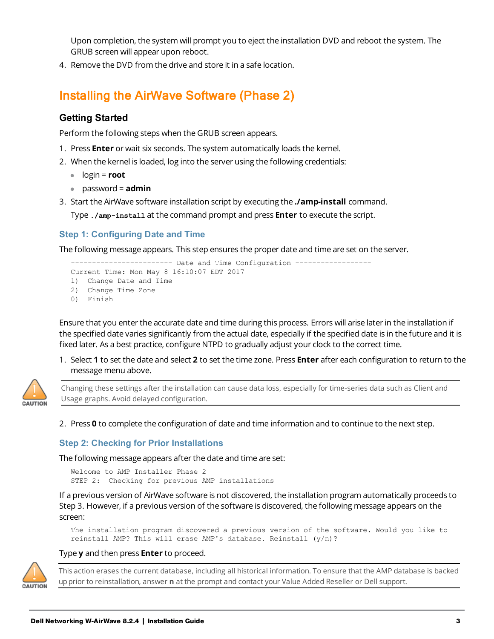Upon completion, the system will prompt you to eject the installation DVD and reboot the system. The GRUB screen will appear upon reboot.

4. Remove the DVD from the drive and store it in a safe location.

## Installing the AirWave Software (Phase 2)

### **Getting Started**

Perform the following steps when the GRUB screen appears.

- 1. Press **Enter** or wait six seconds. The system automatically loads the kernel.
- 2. When the kernel is loaded, log into the server using the following credentials:
	- $\bullet$  login = **root**
	- <sup>l</sup> password = **admin**
- 3. Start the AirWave software installation script by executing the **./amp-install** command.

Type **./amp-install** at the command prompt and press **Enter** to execute the script.

### **Step 1: Configuring Date and Time**

The following message appears. This step ensures the proper date and time are set on the server.

```
------------------- Date and Time Configuration --------------
Current Time: Mon May 8 16:10:07 EDT 2017
1) Change Date and Time
2) Change Time Zone
0) Finish
```
Ensure that you enter the accurate date and time during this process. Errors will arise later in the installation if the specified date varies significantly from the actual date, especially if the specified date is in the future and it is fixed later. As a best practice, configure NTPD to gradually adjust your clock to the correct time.

1. Select **1** to set the date and select **2** to set the time zone. Press **Enter** after each configuration to return to the message menu above.



Changing these settings after the installation can cause data loss, especially for time-series data such as Client and Usage graphs. Avoid delayed configuration.

2. Press **0** to complete the configuration of date and time information and to continue to the next step.

#### **Step 2: Checking for Prior Installations**

The following message appears after the date and time are set:

```
Welcome to AMP Installer Phase 2
STEP 2: Checking for previous AMP installations
```
If a previous version of AirWave software is not discovered, the installation program automatically proceeds to Step 3. However, if a previous version of the software is discovered, the following message appears on the screen:

The installation program discovered a previous version of the software. Would you like to reinstall AMP? This will erase AMP's database. Reinstall (y/n)?

#### Type **y** and then press **Enter** to proceed.



This action erases the current database, including all historical information. To ensure that the AMP database is backed upprior to reinstallation, answer **n** at the prompt and contact your Value Added Reseller or Dell support.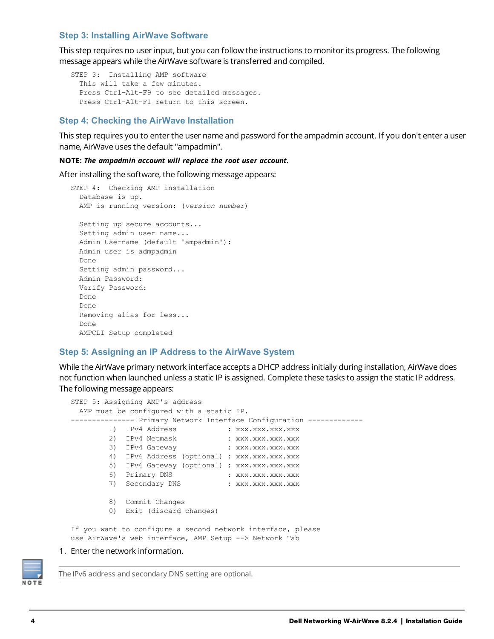#### **Step 3: Installing AirWave Software**

This step requires no user input, but you can follow the instructions to monitor its progress. The following message appears while the AirWave software is transferred and compiled.

```
STEP 3: Installing AMP software
 This will take a few minutes.
  Press Ctrl-Alt-F9 to see detailed messages.
  Press Ctrl-Alt-F1 return to this screen.
```
#### **Step 4: Checking the AirWave Installation**

This step requires you to enter the user name and password for the ampadmin account. If you don't enter a user name, AirWave uses the default "ampadmin".

#### **NOTE:** *The ampadmin account will replace the root user account.*

After installing the software, the following message appears:

```
STEP 4: Checking AMP installation
 Database is up.
 AMP is running version: (version number)
 Setting up secure accounts...
 Setting admin user name...
 Admin Username (default 'ampadmin'):
 Admin user is admpadmin
 Done
 Setting admin password...
 Admin Password:
 Verify Password:
 Done
 Done
 Removing alias for less...
 Done
 AMPCLI Setup completed
```
#### **Step 5: Assigning an IP Address to the AirWave System**

While the AirWave primary network interface accepts a DHCP address initially during installation, AirWave does not function when launched unless a static IP is assigned. Complete these tasks to assign the static IP address. The following message appears:

```
STEP 5: Assigning AMP's address
 AMP must be configured with a static IP.
-------------- Primary Network Interface Configuration ------------
       1) IPv4 Address : xxx.xxx.xxx.xxx.xxx
        2) IPv4 Netmask : xxx.xxx.xxx.xxx.xxx
        3) IPv4 Gateway : xxx.xxx.xxx.xxx
        4) IPv6 Address (optional) : xxx.xxx.xxx.xxx
        5) IPv6 Gateway (optional) : xxx.xxx.xxx.xxx
        6) Primary DNS : xxx.xxx.xxx.xxx.xxx
        7) Secondary DNS : xxx.xxx.xxx.xxx
        8) Commit Changes
        0) Exit (discard changes)
If you want to configure a second network interface, please
use AirWave's web interface, AMP Setup --> Network Tab
```
#### 1. Enter the network information.

NOTE

The IPv6 address and secondary DNS setting are optional.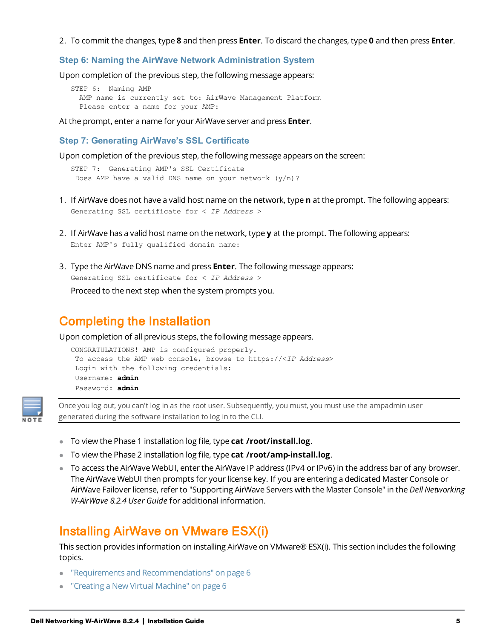2. To commit the changes, type **8** and then press **Enter**. To discard the changes, type **0** and then press **Enter**.

#### **Step 6: Naming the AirWave Network Administration System**

Upon completion of the previous step, the following message appears:

```
STEP 6: Naming AMP
 AMP name is currently set to: AirWave Management Platform
 Please enter a name for your AMP:
```
At the prompt, enter a name for your AirWave server and press **Enter**.

**Step 7: Generating AirWave's SSL Certificate**

Upon completion of the previous step, the following message appears on the screen:

```
STEP 7: Generating AMP's SSL Certificate
Does AMP have a valid DNS name on your network (y/n)?
```
- 1. If AirWave does not have a valid host name on the network, type **n** at the prompt. The following appears: Generating SSL certificate for < *IP Address* >
- 2. If AirWave has a valid host name on the network, type **y** at the prompt. The following appears: Enter AMP's fully qualified domain name:
- 3. Type the AirWave DNS name and press **Enter**. The following message appears: Generating SSL certificate for < *IP Address* > Proceed to the next step when the system prompts you.

## Completing the Installation

Upon completion of all previous steps, the following message appears.

```
CONGRATULATIONS! AMP is configured properly.
To access the AMP web console, browse to https://<IP Address>
Login with the following credentials:
Username: admin
Password: admin
```


Once you log out, you can't log in as the root user. Subsequently, you must, you must use the ampadmin user generated during the software installation to log in to the CLI.

- **To view the Phase 1 installation log file, type cat /root/install.log.**
- **To view the Phase 2 installation log file, type cat /root/amp-install.log.**
- To access the AirWave WebUI, enter the AirWave IP address (IPv4 or IPv6) in the address bar of any browser. The AirWave WebUI then prompts for your license key. If you are entering a dedicated Master Console or AirWave Failover license, refer to "Supporting AirWave Servers with the Master Console" in the *Dell Networking W-AirWave 8.2.4 User Guide* for additional information.

## Installing AirWave on VMware ESX(i)

This section provides information on installing AirWave on VMware® ESX(i). This section includes the following topics.

- "Requirements and [Recommendations"](#page-5-0) on page 6
- "Creating a New Virtual [Machine"](#page-5-1) on page 6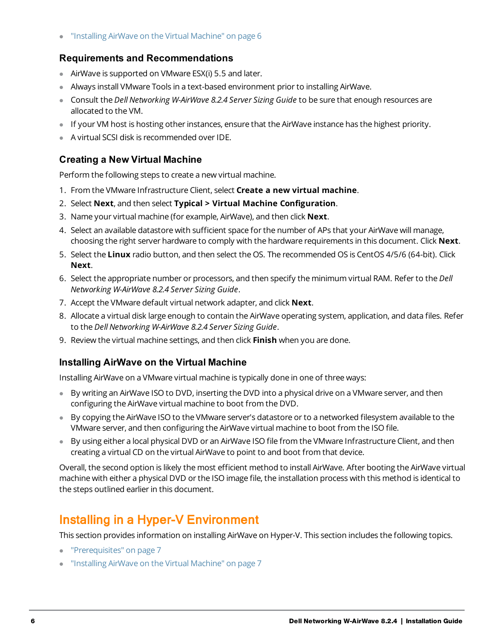<span id="page-5-0"></span><sup>l</sup> ["Installing](#page-5-2) AirWave on the Virtual Machine" on page 6

### **Requirements and Recommendations**

- $\bullet$  AirWave is supported on VMware ESX(i) 5.5 and later.
- Always install VMware Tools in a text-based environment prior to installing AirWave.
- <sup>l</sup> Consult the *Dell Networking W-AirWave 8.2.4 Server Sizing Guide* to be sure that enough resources are allocated to the VM.
- If your VM host is hosting other instances, ensure that the AirWave instance has the highest priority.
- <span id="page-5-1"></span> $\bullet$  A virtual SCSI disk is recommended over IDE.

### **Creating a New Virtual Machine**

Perform the following steps to create a new virtual machine.

- 1. From the VMware Infrastructure Client, select **Create a new virtual machine**.
- 2. Select **Next**, and then select **Typical > Virtual Machine Configuration**.
- 3. Name your virtual machine (for example, AirWave), and then click **Next**.
- 4. Select an available datastore with sufficient space for the number of APs that your AirWave will manage, choosing the right server hardware to comply with the hardware requirements in this document. Click **Next**.
- 5. Select the **Linux** radio button, and then select the OS. The recommended OS is CentOS 4/5/6 (64-bit). Click **Next**.
- 6. Select the appropriate number or processors, and then specify the minimum virtual RAM. Refer to the *Dell Networking W-AirWave 8.2.4 Server Sizing Guide*.
- 7. Accept the VMware default virtual network adapter, and click **Next**.
- 8. Allocate a virtual disk large enough to contain the AirWave operating system, application, and data files. Refer to the *Dell Networking W-AirWave 8.2.4 Server Sizing Guide*.
- <span id="page-5-2"></span>9. Review the virtual machine settings, and then click **Finish** when you are done.

### **Installing AirWave on the Virtual Machine**

Installing AirWave on a VMware virtual machine is typically done in one of three ways:

- By writing an AirWave ISO to DVD, inserting the DVD into a physical drive on a VMware server, and then configuring the AirWave virtual machine to boot from the DVD.
- **By copying the AirWave ISO to the VMware server's datastore or to a networked filesystem available to the** VMware server, and then configuring the AirWave virtual machine to boot from the ISO file.
- By using either a local physical DVD or an AirWave ISO file from the VMware Infrastructure Client, and then creating a virtual CD on the virtual AirWave to point to and boot from that device.

Overall, the second option is likely the most efficient method to install AirWave. After booting the AirWave virtual machine with either a physical DVD or the ISO image file, the installation process with this method is identical to the steps outlined earlier in this document.

## Installing in a Hyper-V Environment

This section provides information on installing AirWave on Hyper-V. This section includes the following topics.

- ["Prerequisites"](#page-6-0) on page 7
- **•** ["Installing](#page-6-1) AirWave on the Virtual Machine" on page 7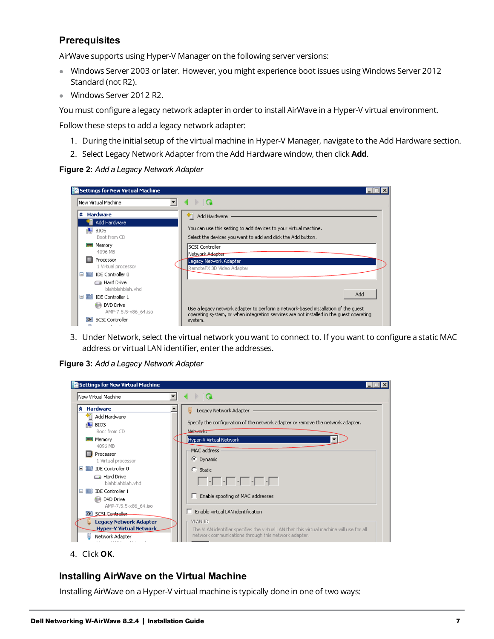### <span id="page-6-0"></span>**Prerequisites**

AirWave supports using Hyper-V Manager on the following server versions:

- **Windows Server 2003 or later. However, you might experience boot issues using Windows Server 2012** Standard (not R2).
- **Windows Server 2012 R2.**

You must configure a legacy network adapter in order to install AirWave in a Hyper-V virtual environment.

Follow these steps to add a legacy network adapter:

- 1. During the initial setup of the virtual machine in Hyper-V Manager, navigate to the Add Hardware section.
- 2. Select Legacy Network Adapter from the Add Hardware window, then click **Add**.

**Figure 2:** *Add a Legacy Network Adapter*

|   | Settings for New Virtual Machine     |                                                                                                                                  |  |
|---|--------------------------------------|----------------------------------------------------------------------------------------------------------------------------------|--|
|   | New Virtual Machine                  | <b>Q</b>                                                                                                                         |  |
| × | <b>Hardware</b><br>Add Hardware      | Add Hardware<br>۹m                                                                                                               |  |
|   | BIOS<br>Boot from CD                 | You can use this setting to add devices to your virtual machine.<br>Select the devices you want to add and click the Add button. |  |
|   | Memory<br><b>TIME</b><br>4096 MB     | <b>SCSI Controller</b><br>Network A <del>dapter</del>                                                                            |  |
|   | Processor<br>1 Virtual processor     | Legacy Network Adapter<br>RemoteFX 3D Video Adapter                                                                              |  |
|   | <b>DE Controller 0</b><br>⊟          |                                                                                                                                  |  |
|   | Hard Drive<br>blahblahblah.vhd       |                                                                                                                                  |  |
|   | <b>EDE</b> IDE Controller 1<br>⊟     | Add                                                                                                                              |  |
|   | DVD Drive<br>AMP-7.5.5-x86_64.iso    | Use a legacy network adapter to perform a network-based installation of the quest                                                |  |
|   | <b>SCSI</b> Controller<br><b>CON</b> | operating system, or when integration services are not installed in the quest operating<br>system.                               |  |

3. Under Network, select the virtual network you want to connect to. If you want to configure a static MAC address or virtual LAN identifier, enter the addresses.

**Figure 3:** *Add a Legacy Network Adapter*

| New Virtual Machine                    | $\mathbb{R}^n$                                                                                                                                                                                                                                                                                                                                      |
|----------------------------------------|-----------------------------------------------------------------------------------------------------------------------------------------------------------------------------------------------------------------------------------------------------------------------------------------------------------------------------------------------------|
| <b>Hardware</b><br>×.                  | Legacy Network Adapter<br>Ш                                                                                                                                                                                                                                                                                                                         |
| Add Hardware                           |                                                                                                                                                                                                                                                                                                                                                     |
| <b>BIOS</b>                            | Specify the configuration of the network adapter or remove the network adapter.                                                                                                                                                                                                                                                                     |
| Boot from CD                           | Network:                                                                                                                                                                                                                                                                                                                                            |
| Memory<br><b>TIME</b>                  | Hyper-V Virtual Network                                                                                                                                                                                                                                                                                                                             |
| 4096 MB                                | MAC address                                                                                                                                                                                                                                                                                                                                         |
| Processor                              |                                                                                                                                                                                                                                                                                                                                                     |
| 1 Virtual processor                    | <b>C</b> Dynamic                                                                                                                                                                                                                                                                                                                                    |
| <b>DE</b> IDE Controller 0<br>$\equiv$ | $\degree$ Static                                                                                                                                                                                                                                                                                                                                    |
| <b>Ea</b> Hard Drive                   |                                                                                                                                                                                                                                                                                                                                                     |
| blahblahblah.vhd                       | $\begin{picture}(10,10) \put(0,0){\line(1,0){10}} \put(10,0){\line(1,0){10}} \put(10,0){\line(1,0){10}} \put(10,0){\line(1,0){10}} \put(10,0){\line(1,0){10}} \put(10,0){\line(1,0){10}} \put(10,0){\line(1,0){10}} \put(10,0){\line(1,0){10}} \put(10,0){\line(1,0){10}} \put(10,0){\line(1,0){10}} \put(10,0){\line(1,0){10}} \put(10,0){\line(1$ |
| <b>DE</b> IDE Controller 1<br>⊟        |                                                                                                                                                                                                                                                                                                                                                     |
| DVD Drive                              | Enable spoofing of MAC addresses                                                                                                                                                                                                                                                                                                                    |
| AMP-7.5.5-x86 64.iso                   |                                                                                                                                                                                                                                                                                                                                                     |
| <b>3</b> SCSI Controller               | Enable virtual LAN identification                                                                                                                                                                                                                                                                                                                   |
| <b>Legacy Network Adapter</b>          | -VLAN ID                                                                                                                                                                                                                                                                                                                                            |
| <b>Hyper-V Virtual Network</b>         | The VLAN identifier specifies the virtual LAN that this virtual machine will use for all                                                                                                                                                                                                                                                            |
| Network Adapter                        | network communications through this network adapter.                                                                                                                                                                                                                                                                                                |

### <span id="page-6-1"></span>**Installing AirWave on the Virtual Machine**

Installing AirWave on a Hyper-V virtual machine is typically done in one of two ways:

<sup>4.</sup> Click **OK**.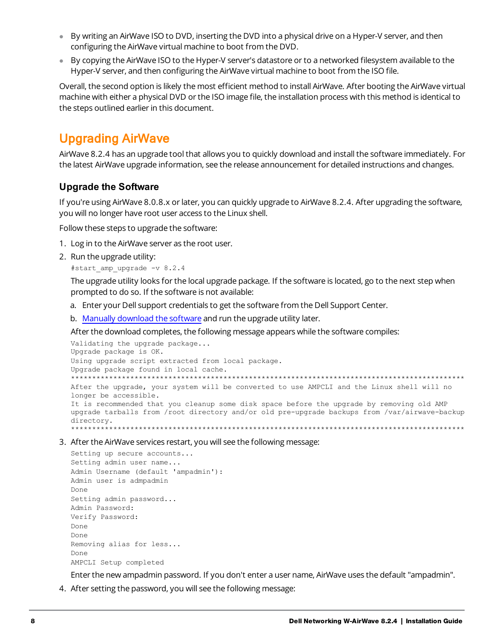- By writing an AirWave ISO to DVD, inserting the DVD into a physical drive on a Hyper-V server, and then configuring the AirWave virtual machine to boot from the DVD.
- By copying the AirWave ISO to the Hyper-V server's datastore or to a networked filesystem available to the Hyper-V server, and then configuring the AirWave virtual machine to boot from the ISO file.

Overall, the second option is likely the most efficient method to install AirWave. After booting the AirWave virtual machine with either a physical DVD or the ISO image file, the installation process with this method is identical to the steps outlined earlier in this document.

## Upgrading AirWave

AirWave 8.2.4 has an upgrade tool that allows you to quickly download and install the software immediately. For the latest AirWave upgrade information, see the release announcement for detailed instructions and changes.

### **Upgrade the Software**

If you're using AirWave 8.0.8.x or later, you can quickly upgrade to AirWave 8.2.4. After upgrading the software, you will no longer have root user access to the Linux shell.

Follow these steps to upgrade the software:

- 1. Log in to the AirWave server as the root user.
- 2. Run the upgrade utility:

#start\_amp\_upgrade -v 8.2.4

The upgrade utility looks for the local upgrade package. If the software is located, go to the next step when prompted to do so. If the software is not available:

- a. Enter your Dell support credentials to get the software from the Dell Support Center.
- b. Manually [download](#page-8-0) the software and run the upgrade utility later.

After the download completes, the following message appears while the software compiles:

```
Validating the upgrade package...
Upgrade package is OK.
Using upgrade script extracted from local package.
Upgrade package found in local cache.
*********************************************************************************************
After the upgrade, your system will be converted to use AMPCLI and the Linux shell will no
longer be accessible.
It is recommended that you cleanup some disk space before the upgrade by removing old AMP
upgrade tarballs from /root directory and/or old pre-upgrade backups from /var/airwave-backup
directory.
*********************************************************************************************
```
3. After the AirWave services restart, you will see the following message:

```
Setting up secure accounts...
Setting admin user name...
Admin Username (default 'ampadmin'):
Admin user is admpadmin
Done
Setting admin password...
Admin Password:
Verify Password:
Done
Done
Removing alias for less...
Done
AMPCLI Setup completed
```
Enter the new ampadmin password. If you don't enter a user name, AirWave uses the default "ampadmin".

4. After setting the password, you will see the following message: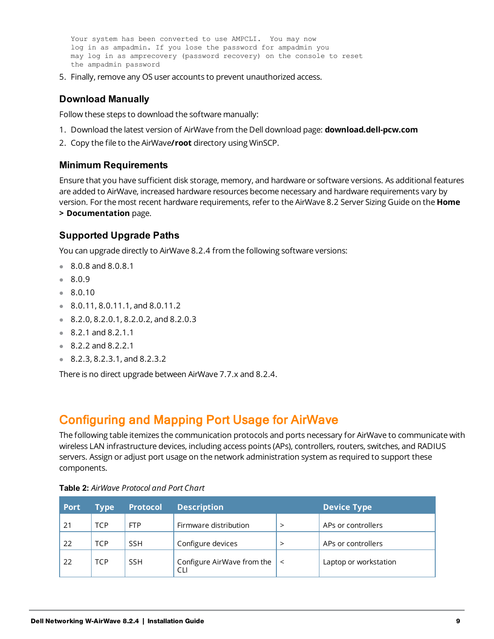Your system has been converted to use AMPCLI. You may now log in as ampadmin. If you lose the password for ampadmin you may log in as amprecovery (password recovery) on the console to reset the ampadmin password

<span id="page-8-0"></span>5. Finally, remove any OS user accounts to prevent unauthorized access.

### **Download Manually**

Follow these steps to download the software manually:

- 1. Download the latest version of AirWave from the Dell download page: **download.dell-pcw.com**
- 2. Copy the file to the AirWave**/root** directory using WinSCP.

### **Minimum Requirements**

Ensure that you have sufficient disk storage, memory, and hardware or software versions. As additional features are added to AirWave, increased hardware resources become necessary and hardware requirements vary by version. For the most recent hardware requirements, refer to the AirWave 8.2 Server Sizing Guide on the **Home > Documentation** page.

### **Supported Upgrade Paths**

You can upgrade directly to AirWave 8.2.4 from the following software versions:

- $8.0.8$  and 8.0.8.1
- $8.0.9$
- $.8.0.10$
- $\bullet$  8.0.11, 8.0.11.1, and 8.0.11.2
- $8.2.0, 8.2.0.1, 8.2.0.2, and 8.2.0.3$
- $8.2.1$  and 8.2.1.1
- <sup>l</sup> 8.2.2 and 8.2.2.1
- $8.2.3, 8.2.3.1, and 8.2.3.2$

There is no direct upgrade between AirWave 7.7.x and 8.2.4.

## Configuring and Mapping Port Usage for AirWave

The following table itemizes the communication protocols and ports necessary for AirWave to communicate with wireless LAN infrastructure devices, including access points (APs), controllers, routers, switches, and RADIUS servers. Assign or adjust port usage on the network administration system as required to support these components.

| <b>Port</b> | <b>Type</b> | <b>Protocol</b> | <b>Description</b>                |         | <b>Device Type</b>    |
|-------------|-------------|-----------------|-----------------------------------|---------|-----------------------|
| 21          | <b>TCP</b>  | <b>FTP</b>      | Firmware distribution             |         | APs or controllers    |
| 22          | TCP         | <b>SSH</b>      | Configure devices                 |         | APs or controllers    |
| 22          | TCP         | <b>SSH</b>      | Configure AirWave from the<br>CLI | $\prec$ | Laptop or workstation |

#### **Table 2:** *AirWave Protocol and Port Chart*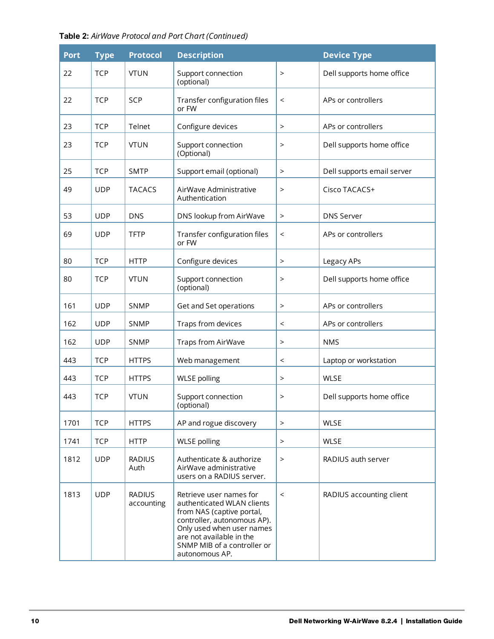| Table 2: AirWave Protocol and Port Chart (Continued) |  |  |  |  |  |  |  |  |
|------------------------------------------------------|--|--|--|--|--|--|--|--|
|------------------------------------------------------|--|--|--|--|--|--|--|--|

| <b>Port</b> | <b>Type</b> | <b>Protocol</b>             | <b>Description</b>                                                                                                                                                                                                          |           | <b>Device Type</b>         |
|-------------|-------------|-----------------------------|-----------------------------------------------------------------------------------------------------------------------------------------------------------------------------------------------------------------------------|-----------|----------------------------|
| 22          | <b>TCP</b>  | <b>VTUN</b>                 | Support connection<br>(optional)                                                                                                                                                                                            | $\geq$    | Dell supports home office  |
| 22          | <b>TCP</b>  | SCP                         | Transfer configuration files<br>or FW                                                                                                                                                                                       | $\,<\,$   | APs or controllers         |
| 23          | <b>TCP</b>  | Telnet                      | Configure devices                                                                                                                                                                                                           | $\,>$     | APs or controllers         |
| 23          | <b>TCP</b>  | <b>VTUN</b>                 | Support connection<br>(Optional)                                                                                                                                                                                            | $\,>$     | Dell supports home office  |
| 25          | <b>TCP</b>  | <b>SMTP</b>                 | Support email (optional)                                                                                                                                                                                                    | $\,>$     | Dell supports email server |
| 49          | <b>UDP</b>  | <b>TACACS</b>               | AirWave Administrative<br>Authentication                                                                                                                                                                                    | $\geq$    | Cisco TACACS+              |
| 53          | <b>UDP</b>  | <b>DNS</b>                  | DNS lookup from AirWave                                                                                                                                                                                                     | $\,>$     | <b>DNS Server</b>          |
| 69          | <b>UDP</b>  | <b>TFTP</b>                 | Transfer configuration files<br>or FW                                                                                                                                                                                       | $\,<\,$   | APs or controllers         |
| 80          | <b>TCP</b>  | <b>HTTP</b>                 | Configure devices                                                                                                                                                                                                           | $\,>$     | Legacy APs                 |
| 80          | <b>TCP</b>  | <b>VTUN</b>                 | Support connection<br>(optional)                                                                                                                                                                                            | $\,>$     | Dell supports home office  |
| 161         | <b>UDP</b>  | <b>SNMP</b>                 | Get and Set operations                                                                                                                                                                                                      | $\geq$    | APs or controllers         |
| 162         | <b>UDP</b>  | <b>SNMP</b>                 | Traps from devices                                                                                                                                                                                                          | $\,<\,$   | APs or controllers         |
| 162         | <b>UDP</b>  | SNMP                        | Traps from AirWave                                                                                                                                                                                                          | $\, > \,$ | <b>NMS</b>                 |
| 443         | <b>TCP</b>  | <b>HTTPS</b>                | Web management                                                                                                                                                                                                              | $\,<\,$   | Laptop or workstation      |
| 443         | <b>TCP</b>  | <b>HTTPS</b>                | <b>WLSE</b> polling                                                                                                                                                                                                         | $\geq$    | <b>WLSE</b>                |
| 443         | <b>TCP</b>  | <b>VTUN</b>                 | Support connection<br>(optional)                                                                                                                                                                                            | $\geq$    | Dell supports home office  |
| 1701        | <b>TCP</b>  | <b>HTTPS</b>                | AP and rogue discovery                                                                                                                                                                                                      | $\, >$    | <b>WLSE</b>                |
| 1741        | <b>TCP</b>  | <b>HTTP</b>                 | <b>WLSE</b> polling                                                                                                                                                                                                         | $\rm{>}$  | <b>WLSE</b>                |
| 1812        | <b>UDP</b>  | <b>RADIUS</b><br>Auth       | Authenticate & authorize<br>AirWave administrative<br>users on a RADIUS server.                                                                                                                                             | $\,>$     | RADIUS auth server         |
| 1813        | <b>UDP</b>  | <b>RADIUS</b><br>accounting | Retrieve user names for<br>authenticated WLAN clients<br>from NAS (captive portal,<br>controller, autonomous AP).<br>Only used when user names<br>are not available in the<br>SNMP MIB of a controller or<br>autonomous AP. | $\,<\,$   | RADIUS accounting client   |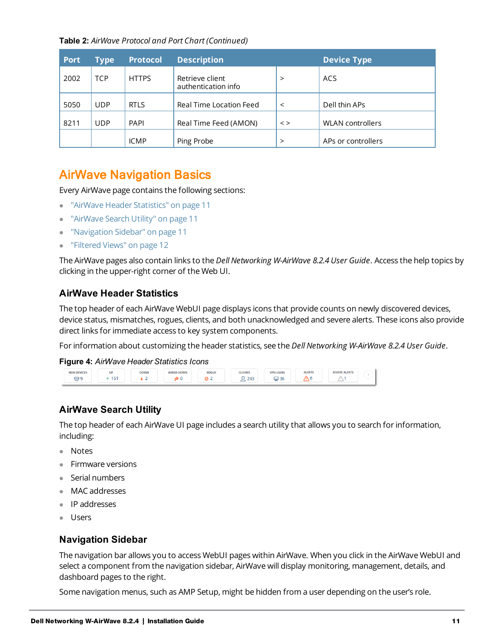**Table 2:** *AirWave Protocol and Port Chart (Continued)*

| <b>Port</b> | <b>Type</b> | <b>Protocol</b> | <b>Description</b>                     |             | <b>Device Type</b>      |
|-------------|-------------|-----------------|----------------------------------------|-------------|-------------------------|
| 2002        | <b>TCP</b>  | <b>HTTPS</b>    | Retrieve client<br>authentication info | $\geq$      | ACS                     |
| 5050        | <b>UDP</b>  | <b>RTLS</b>     | Real Time Location Feed                | $\,<\,$     | Dell thin APs           |
| 8211        | <b>UDP</b>  | <b>PAPI</b>     | Real Time Feed (AMON)                  | $\langle$ > | <b>WLAN</b> controllers |
|             |             | <b>ICMP</b>     | Ping Probe                             | >           | APs or controllers      |

## AirWave Navigation Basics

Every AirWave page contains the following sections:

- **"AirWave Header [Statistics"](#page-10-0) on page 11**
- **.** ["AirWave](#page-10-1) Search Utility" on page 11
- <sup>l</sup> ["Navigation](#page-10-2) Sidebar" on page 11
- ["Filtered](#page-11-0) Views" on page 12

The AirWave pages also contain links to the *Dell Networking W-AirWave 8.2.4 User Guide*. Access the help topics by clicking in the upper-right corner of the Web UI.

### <span id="page-10-0"></span>**AirWave Header Statistics**

The top header of each AirWave WebUI page displays icons that provide counts on newly discovered devices, device status, mismatches, rogues, clients, and both unacknowledged and severe alerts. These icons also provide direct links for immediate access to key system components.

For information about customizing the header statistics, see the *Dell Networking W-AirWave 8.2.4 User Guide*.

#### **Figure 4:** *AirWave Header Statistics Icons*



### <span id="page-10-1"></span>**AirWave Search Utility**

The top header of each AirWave UI page includes a search utility that allows you to search for information, including:

- Notes
- $\bullet$  Firmware versions
- **Serial numbers**
- MAC addresses
- $\bullet$  IP addresses
- <span id="page-10-2"></span>• Users

### **Navigation Sidebar**

The navigation bar allows you to access WebUI pages within AirWave. When you click in the AirWave WebUI and select a component from the navigation sidebar, AirWave will display monitoring, management, details, and dashboard pages to the right.

Some navigation menus, such as AMP Setup, might be hidden from a user depending on the user's role.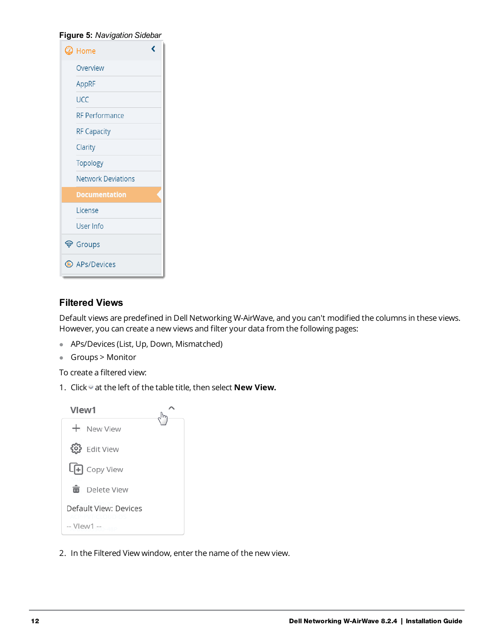| Figure 5: Navigation Sidebar |   |
|------------------------------|---|
| $\circledcirc$ Home          | C |
| Overview                     |   |
| AppRF                        |   |
| UCC                          |   |
| <b>RF Performance</b>        |   |
| <b>RF Capacity</b>           |   |
| Clarity                      |   |
| <b>Topology</b>              |   |
| <b>Network Deviations</b>    |   |
| <b>Documentation</b>         |   |
| License                      |   |
| User Info                    |   |
| ම Groups                     |   |
| <b>APs/Devices</b>           |   |

### <span id="page-11-0"></span>**Filtered Views**

Default views are predefined in Dell Networking W-AirWave, and you can't modified the columns in these views. However, you can create a new views and filter your data from the following pages:

- **•** APs/Devices (List, Up, Down, Mismatched)
- **Groups > Monitor**

To create a filtered view:

1. Click at the left of the table title, then select **New View.** 

| Vlew1 |                                           |  |
|-------|-------------------------------------------|--|
|       | + New View                                |  |
|       | 63 Edit View                              |  |
|       | <b>LFI</b> Copy View                      |  |
|       | m Delete View                             |  |
|       | Default View: Devices<br>ACP-PVE-CLOUD-DS |  |
|       | $-$ View1 $-$                             |  |

2. In the Filtered View window, enter the name of the new view.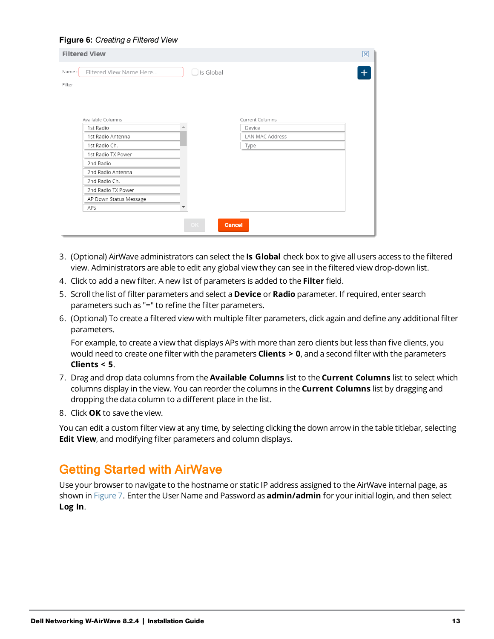#### **Figure 6:** *Creating a Filtered View*

|                 | <b>Filtered View</b>    |                     |                 | × |
|-----------------|-------------------------|---------------------|-----------------|---|
| Name:<br>Filter | Filtered View Name Here | $\Box$ Is Global    |                 |   |
|                 | Available Columns       |                     | Current Columns |   |
|                 | 1st Radio               |                     | Device          |   |
|                 | 1st Radio Antenna       |                     | LAN MAC Address |   |
|                 | 1st Radio Ch.           |                     | Type            |   |
|                 | 1st Radio TX Power      |                     |                 |   |
|                 | 2nd Radio               |                     |                 |   |
|                 | 2nd Radio Antenna       |                     |                 |   |
|                 | 2nd Radio Ch.           |                     |                 |   |
|                 | 2nd Radio TX Power      |                     |                 |   |
|                 | AP Down Status Message  |                     |                 |   |
|                 | APs                     |                     |                 |   |
|                 |                         | <b>Cancel</b><br>OK |                 |   |

- 3. (Optional) AirWave administrators can select the **Is Global** check box to give all users access to the filtered view. Administrators are able to edit any global view they can see in the filtered view drop-down list.
- 4. Click to add a new filter. A new list of parameters is added to the **Filter** field.
- 5. Scroll the list of filter parameters and select a **Device** or **Radio** parameter. If required, enter search parameters such as "=" to refine the filter parameters.
- 6. (Optional) To create a filtered view with multiple filter parameters, click again and define any additional filter parameters.

For example, to create a view that displays APs with more than zero clients but less than five clients, you would need to create one filter with the parameters **Clients > 0**, and a second filter with the parameters **Clients < 5**.

- 7. Drag and drop data columns from the **Available Columns** list to the **Current Columns** list to select which columns display in the view. You can reorder the columns in the **Current Columns** list by dragging and dropping the data column to a different place in the list.
- 8. Click **OK** to save the view.

You can edit a custom filter view at any time, by selecting clicking the down arrow in the table titlebar, selecting **Edit View**, and modifying filter parameters and column displays.

## Getting Started with AirWave

Use your browser to navigate to the hostname or static IP address assigned to the AirWave internal page, as shown in [Figure](#page-13-0) 7. Enter the User Name and Password as **admin/admin** for your initial login, and then select **Log In**.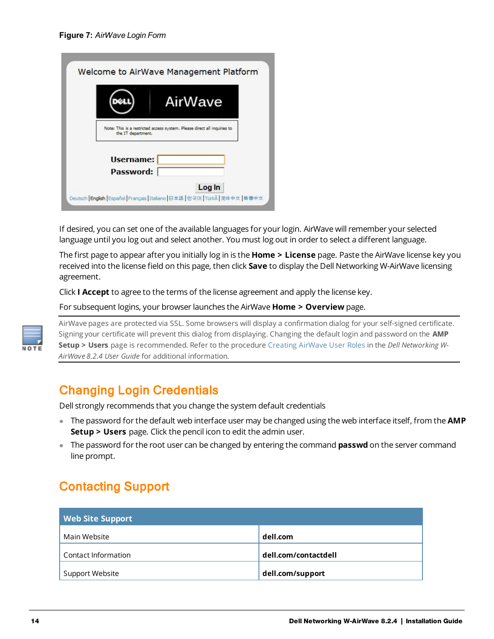<span id="page-13-0"></span>

|                    | AirWave                                                                  |
|--------------------|--------------------------------------------------------------------------|
| the IT department. | Note: This is a restricted access system. Please direct all inquiries to |
|                    |                                                                          |
| <b>Username:</b>   |                                                                          |
| Password:          |                                                                          |

If desired, you can set one of the available languages for your login. AirWave will remember your selected language until you log out and select another. You must log out in order to select a different language.

The first page to appear after you initially log in is the **Home > License** page. Paste the AirWave license key you received into the license field on this page, then click **Save** to display the Dell Networking W-AirWave licensing agreement.

Click **I Accept** to agree to the terms of the license agreement and apply the license key.

For subsequent logins, your browser launches the AirWave **Home > Overview** page.



AirWave pages are protected via SSL. Some browsers will display a confirmation dialog for your self-signed certificate. Signing your certificate will prevent this dialog from displaying. Changing the default login and password on the **AMP Setup > Users** page is recommended. Refer to the procedure Creating AirWave User Roles in the *Dell Networking W-AirWave 8.2.4 User Guide* for additional information.

## Changing Login Credentials

Dell strongly recommends that you change the system default credentials

- <sup>l</sup> The password for the default web interface user may be changed using the web interface itself, from the **AMP Setup > Users** page. Click the pencil icon to edit the admin user.
- The password for the root user can be changed by entering the command **passwd** on the server command line prompt.

## Contacting Support

| <b>Web Site Support</b> |                      |
|-------------------------|----------------------|
| Main Website            | dell.com             |
| Contact Information     | dell.com/contactdell |
| Support Website         | dell.com/support     |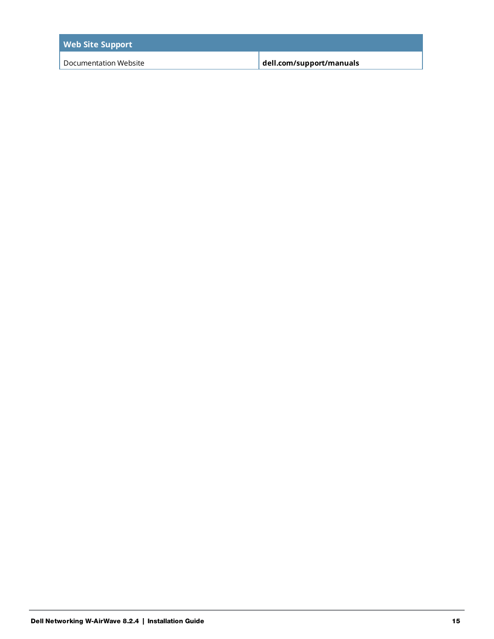| <b>Web Site Support</b> |                          |
|-------------------------|--------------------------|
| Documentation Website   | dell.com/support/manuals |